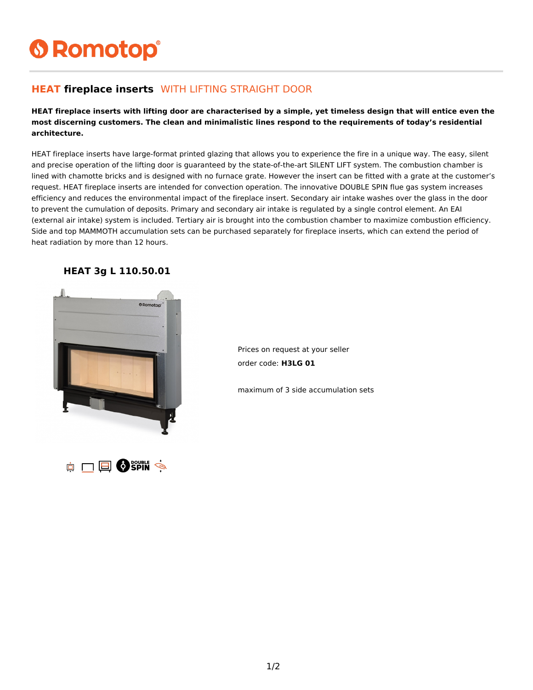# **6 Romotop®**

#### **HEAT fireplace inserts** WITH LIFTING STRAIGHT DOOR

**HEAT fireplace inserts with lifting door are characterised by a simple, yet timeless design that will entice even the most discerning customers. The clean and minimalistic lines respond to the requirements of today's residential architecture.**

HEAT fireplace inserts have large-format printed glazing that allows you to experience the fire in a unique way. The easy, silent and precise operation of the lifting door is guaranteed by the state-of-the-art SILENT LIFT system. The combustion chamber is lined with chamotte bricks and is designed with no furnace grate. However the insert can be fitted with a grate at the customer's request. HEAT fireplace inserts are intended for convection operation. The innovative DOUBLE SPIN flue gas system increases efficiency and reduces the environmental impact of the fireplace insert. Secondary air intake washes over the glass in the door to prevent the cumulation of deposits. Primary and secondary air intake is regulated by a single control element. An EAI (external air intake) system is included. Tertiary air is brought into the combustion chamber to maximize combustion efficiency. Side and top MAMMOTH accumulation sets can be purchased separately for fireplace inserts, which can extend the period of heat radiation by more than 12 hours.



#### **HEAT 3g L 110.50.01**

Prices on request at your seller order code: **H3LG 01**

maximum of 3 side accumulation sets